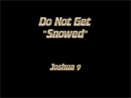

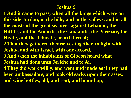## **Joshua 9**

**1 And it came to pass, when all the kings which were on this side Jordan, in the hills, and in the valleys, and in all the coasts of the great sea over against Lebanon, the Hittite, and the Amorite, the Canaanite, the Perizzite, the Hivite, and the Jebusite, heard thereof; 2 That they gathered themselves together, to fight with Joshua and with Israel, with one accord. 3 And when the inhabitants of Gibeon heard what Joshua had done unto Jericho and to Ai, 4 They did work wilily, and went and made as if they had been ambassadors, and took old sacks upon their asses, and wine bottles, old, and rent, and bound up;**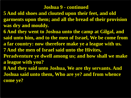- **5 And old shoes and clouted upon their feet, and old garments upon them; and all the bread of their provision was dry and mouldy.**
- **6 And they went to Joshua unto the camp at Gilgal, and said unto him, and to the men of Israel, We be come from a far country: now therefore make ye a league with us. 7 And the men of Israel said unto the Hivites,**
- **Peradventure ye dwell among us; and how shall we make a league with you?**
- **8 And they said unto Joshua, We are thy servants. And Joshua said unto them, Who are ye? and from whence come ye?**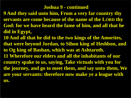**9 And they said unto him, From a very far country thy servants are come because of the name of the LORD thy God: for we have heard the fame of him, and all that he did in Egypt,**

**10 And all that he did to the two kings of the Amorites, that were beyond Jordan, to Sihon king of Heshbon, and to Og king of Bashan, which was at Ashtaroth. 11 Wherefore our elders and all the inhabitants of our country spake to us, saying, Take victuals with you for the journey, and go to meet them, and say unto them, We are your servants: therefore now make ye a league with us.**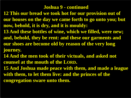- **12 This our bread we took hot for our provision out of our houses on the day we came forth to go unto you; but now, behold, it is dry, and it is mouldy:**
- **13 And these bottles of wine, which we filled, were new; and, behold, they be rent: and these our garments and our shoes are become old by reason of the very long journey.**
- **14 And the men took of their victuals, and asked not counsel at the mouth of the LORD.**
- **15 And Joshua made peace with them, and made a league with them, to let them live: and the princes of the congregation sware unto them.**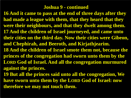**16 And it came to pass at the end of three days after they had made a league with them, that they heard that they were their neighbours, and that they dwelt among them. 17 And the children of Israel journeyed, and came unto their cities on the third day. Now their cities were Gibeon, and Chephirah, and Beeroth, and Kirjathjearim. 18 And the children of Israel smote them not, because the princes of the congregation had sworn unto them by the LORD God of Israel. And all the congregation murmured against the princes. 19 But all the princes said unto all the congregation, We have sworn unto them by the LORD God of Israel: now therefore we may not touch them.**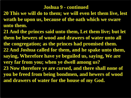- **20 This we will do to them; we will even let them live, lest wrath be upon us, because of the oath which we sware unto them.**
- **21 And the princes said unto them, Let them live; but let them be hewers of wood and drawers of water unto all the congregation; as the princes had promised them. 22 And Joshua called for them, and he spake unto them, saying, Wherefore have ye beguiled us, saying, We are very far from you; when ye dwell among us? 23 Now therefore ye are cursed, and there shall none of you be freed from being bondmen, and hewers of wood and drawers of water for the house of my God.**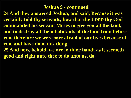**24 And they answered Joshua, and said, Because it was certainly told thy servants, how that the LORD thy God commanded his servant Moses to give you all the land, and to destroy all the inhabitants of the land from before you, therefore we were sore afraid of our lives because of you, and have done this thing. 25 And now, behold, we are in thine hand: as it seemeth**

**good and right unto thee to do unto us, do.**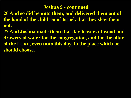**26 And so did he unto them, and delivered them out of the hand of the children of Israel, that they slew them not.**

**27 And Joshua made them that day hewers of wood and drawers of water for the congregation, and for the altar of the LORD, even unto this day, in the place which he should choose.**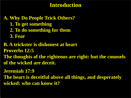# **Introduction**

**A. Why Do People Trick Others? 1. To get something 2. To do something for them 3. Fear** 

**B. A trickster is dishonest at heart Proverbs 12:5 The thoughts of the righteous are right: but the counsels of the wicked are deceit.**

**Jeremiah 17:9 The heart is deceitful above all things, and desperately wicked: who can know it?**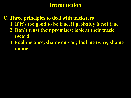# **Introduction**

**C. Three principles to deal with tricksters 1. If it's too good to be true, it probably is not true 2. Don't trust their promises; look at their track record**

 **3. Fool me once, shame on you; fool me twice, shame on me**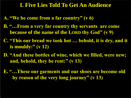## **I. Five Lies Told To Get An Audience**

- **A. "We be come from a far country" (v 6)**
- **B. "…From a very far country thy servants are come because of the name of the LORD thy God" (v 9)**
- **C. "This our bread we took hot … behold, it is dry, and it is mouldy:" (v 12)**
- **D. "And these bottles of wine, which we filled, were new; and, behold, they be rent:" (v 13)**
- **E. "…These our garments and our shoes are become old by reason of the very long journey" (v 13)**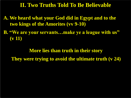## **II. Two Truths Told To Be Believable**

- **A. We heard what your God did in Egypt and to the two kings of the Amorites (vv 9-10)**
- **B. "We are your servants…make ye a league with us" (v 11)**

# **More lies than truth in their story They were trying to avoid the ultimate truth (v 24)**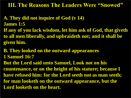# **III. The Reasons The Leaders Were "Snowed"**

- **A. They did not inquire of God (v 14) James 1:5**
- **If any of you lack wisdom, let him ask of God, that giveth to all men liberally, and upbraideth not; and it shall be given him.**
- **B. They looked on the outward appearances 1 Samuel 16:7 But the Lord said unto Samuel, Look not on his countenance, or on the height of his stature; because I have refused him: for the Lord seeth not as man seeth; for man looketh on the outward appearance, but the Lord looketh on the heart.**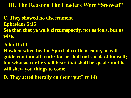## **III. The Reasons The Leaders Were "Snowed"**

**C. They showed no discernment Ephesians 5:15 See then that ye walk circumspectly, not as fools, but as wise,**

**John 16:13**

**.**

**Howbeit when he, the Spirit of truth, is come, he will guide you into all truth: for he shall not speak of himself; but whatsoever he shall hear, that shall he speak: and he will shew you things to come.**

**D. They acted literally on their "gut" (v 14)**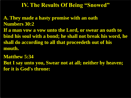# **IV. The Results Of Being "Snowed"**

**A. They made a hasty promise with an oath Numbers 30:2**

If a man vow a vow unto the Lord, or swear an oath to **bind his soul with a bond; he shall not break his word, he shall do according to all that proceedeth out of his mouth.**

**Matthew 5:34 But I say unto you, Swear not at all; neither by heaven; for it is God's throne:**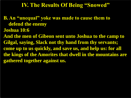# **IV. The Results Of Being "Snowed"**

**B. An "unequal" yoke was made to cause them to defend the enemy**

**Joshua 10:6**

**And the men of Gibeon sent unto Joshua to the camp to Gilgal, saying, Slack not thy hand from thy servants; come up to us quickly, and save us, and help us: for all the kings of the Amorites that dwell in the mountains are gathered together against us.**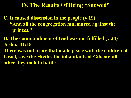# **IV. The Results Of Being "Snowed"**

**C. It caused dissension in the people (v 19) "And all the congregation murmured against the princes."**

**D. The commandment of God was not fulfilled (v 24) Joshua 11:19 There was not a city that made peace with the children of Israel, save the Hivites the inhabitants of Gibeon: all other they took in battle.**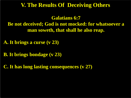## **V. The Results Of Deceiving Others**

**Galatians 6:7 Be not deceived; God is not mocked: for whatsoever a man soweth, that shall he also reap.**

**A. It brings a curse (v 23)**

**B. It brings bondage (v 23)**

**C. It has long lasting consequences (v 27)**